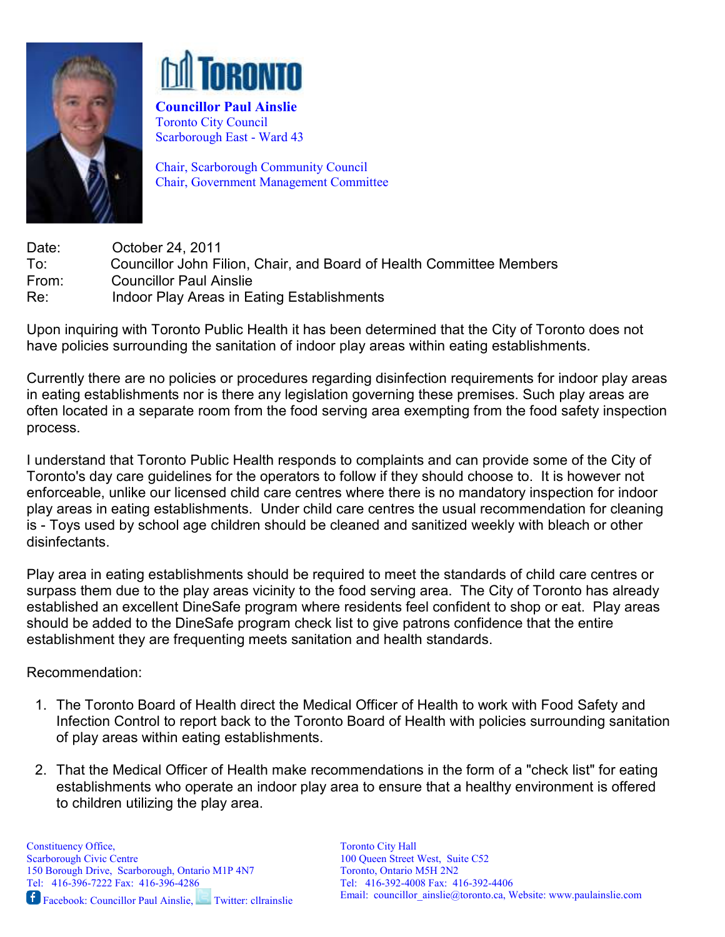



Councillor Paul Ainslie Toronto City Council Scarborough East - Ward 43

Chair, Scarborough Community Council Chair, Government Management Committee

Date: **October 24, 2011** To: Councillor John Filion, Chair, and Board of Health Committee Members From: Councillor Paul Ainslie Re: Indoor Play Areas in Eating Establishments

Upon inquiring with Toronto Public Health it has been determined that the City of Toronto does not have policies surrounding the sanitation of indoor play areas within eating establishments.

Currently there are no policies or procedures regarding disinfection requirements for indoor play areas in eating establishments nor is there any legislation governing these premises. Such play areas are often located in a separate room from the food serving area exempting from the food safety inspection process.

I understand that Toronto Public Health responds to complaints and can provide some of the City of Toronto's day care guidelines for the operators to follow if they should choose to. It is however not enforceable, unlike our licensed child care centres where there is no mandatory inspection for indoor play areas in eating establishments. Under child care centres the usual recommendation for cleaning is - Toys used by school age children should be cleaned and sanitized weekly with bleach or other disinfectants.

Play area in eating establishments should be required to meet the standards of child care centres or surpass them due to the play areas vicinity to the food serving area. The City of Toronto has already established an excellent DineSafe program where residents feel confident to shop or eat. Play areas should be added to the DineSafe program check list to give patrons confidence that the entire establishment they are frequenting meets sanitation and health standards.

Recommendation:

- 1. The Toronto Board of Health direct the Medical Officer of Health to work with Food Safety and Infection Control to report back to the Toronto Board of Health with policies surrounding sanitation of play areas within eating establishments.
- 2. That the Medical Officer of Health make recommendations in the form of a "check list" for eating establishments who operate an indoor play area to ensure that a healthy environment is offered to children utilizing the play area.

Toronto City Hall 100 Queen Street West, Suite C52 Toronto, Ontario M5H 2N2 Tel: 416-392-4008 Fax: 416-392-4406 Email: councillor ainslie@toronto.ca, Website: www.paulainslie.com